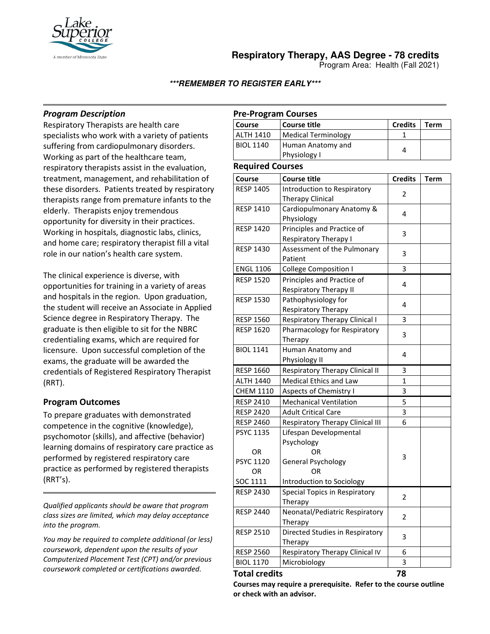

**Respiratory Therapy, AAS Degree - 78 credits**

Program Area: Health (Fall 2021)

**\*\*\*REMEMBER TO REGISTER EARLY\*\*\***

## *Program Description*

Respiratory Therapists are health care specialists who work with a variety of patients suffering from cardiopulmonary disorders. Working as part of the healthcare team, respiratory therapists assist in the evaluation, treatment, management, and rehabilitation of these disorders. Patients treated by respiratory therapists range from premature infants to the elderly. Therapists enjoy tremendous opportunity for diversity in their practices. Working in hospitals, diagnostic labs, clinics, and home care; respiratory therapist fill a vital role in our nation's health care system.

The clinical experience is diverse, with opportunities for training in a variety of areas and hospitals in the region. Upon graduation, the student will receive an Associate in Applied Science degree in Respiratory Therapy. The graduate is then eligible to sit for the NBRC credentialing exams, which are required for licensure. Upon successful completion of the exams, the graduate will be awarded the credentials of Registered Respiratory Therapist (RRT).

## **Program Outcomes**

To prepare graduates with demonstrated competence in the cognitive (knowledge), psychomotor (skills), and affective (behavior) learning domains of respiratory care practice as performed by registered respiratory care practice as performed by registered therapists (RRT's).

*Qualified applicants should be aware that program class sizes are limited, which may delay acceptance into the program.*

*You may be required to complete additional (or less) coursework, dependent upon the results of your Computerized Placement Test (CPT) and/or previous coursework completed or certifications awarded.*

## **Pre-Program Courses**

| Course           | Course title                      | <b>Credits</b> | Term |
|------------------|-----------------------------------|----------------|------|
| <b>ALTH 1410</b> | Medical Terminology               |                |      |
| <b>BIOL 1140</b> | Human Anatomy and<br>Physiology I |                |      |

#### **Required Courses**

| Course               | <b>Course title</b>              | <b>Credits</b> | <b>Term</b> |
|----------------------|----------------------------------|----------------|-------------|
| <b>RESP 1405</b>     | Introduction to Respiratory      |                |             |
|                      | <b>Therapy Clinical</b>          | 2              |             |
| <b>RESP 1410</b>     | Cardiopulmonary Anatomy &        | 4              |             |
|                      | Physiology                       |                |             |
| <b>RESP 1420</b>     | Principles and Practice of       | 3              |             |
|                      | Respiratory Therapy I            |                |             |
| <b>RESP 1430</b>     | Assessment of the Pulmonary      | 3              |             |
|                      | Patient                          |                |             |
| <b>ENGL 1106</b>     | <b>College Composition I</b>     | 3              |             |
| <b>RESP 1520</b>     | Principles and Practice of       | 4              |             |
|                      | <b>Respiratory Therapy II</b>    |                |             |
| <b>RESP 1530</b>     | Pathophysiology for              | 4              |             |
|                      | Respiratory Therapy              |                |             |
| <b>RESP 1560</b>     | Respiratory Therapy Clinical I   | 3              |             |
| <b>RESP 1620</b>     | Pharmacology for Respiratory     | 3              |             |
|                      | Therapy                          |                |             |
| <b>BIOL 1141</b>     | Human Anatomy and                | 4              |             |
|                      | Physiology II                    |                |             |
| <b>RESP 1660</b>     | Respiratory Therapy Clinical II  | 3              |             |
| <b>ALTH 1440</b>     | <b>Medical Ethics and Law</b>    | 1              |             |
| <b>CHEM 1110</b>     | Aspects of Chemistry I           | 3              |             |
| <b>RESP 2410</b>     | <b>Mechanical Ventilation</b>    | 5              |             |
| <b>RESP 2420</b>     | <b>Adult Critical Care</b>       | 3              |             |
| <b>RESP 2460</b>     | Respiratory Therapy Clinical III | 6              |             |
| <b>PSYC 1135</b>     | Lifespan Developmental           |                |             |
|                      | Psychology                       |                |             |
| 0R                   | OR                               | 3              |             |
| <b>PSYC 1120</b>     | General Psychology               |                |             |
| OR                   | OR                               |                |             |
| SOC 1111             | Introduction to Sociology        |                |             |
| <b>RESP 2430</b>     | Special Topics in Respiratory    | $\overline{2}$ |             |
|                      | Therapy                          |                |             |
| <b>RESP 2440</b>     | Neonatal/Pediatric Respiratory   | 2              |             |
|                      | Therapy                          |                |             |
| <b>RESP 2510</b>     | Directed Studies in Respiratory  | 3              |             |
|                      | Therapy                          |                |             |
| <b>RESP 2560</b>     | Respiratory Therapy Clinical IV  | 6              |             |
| <b>BIOL 1170</b>     | Microbiology                     | 3              |             |
| <b>Total credits</b> |                                  | 78             |             |

**Courses may require a prerequisite. Refer to the course outline or check with an advisor.**